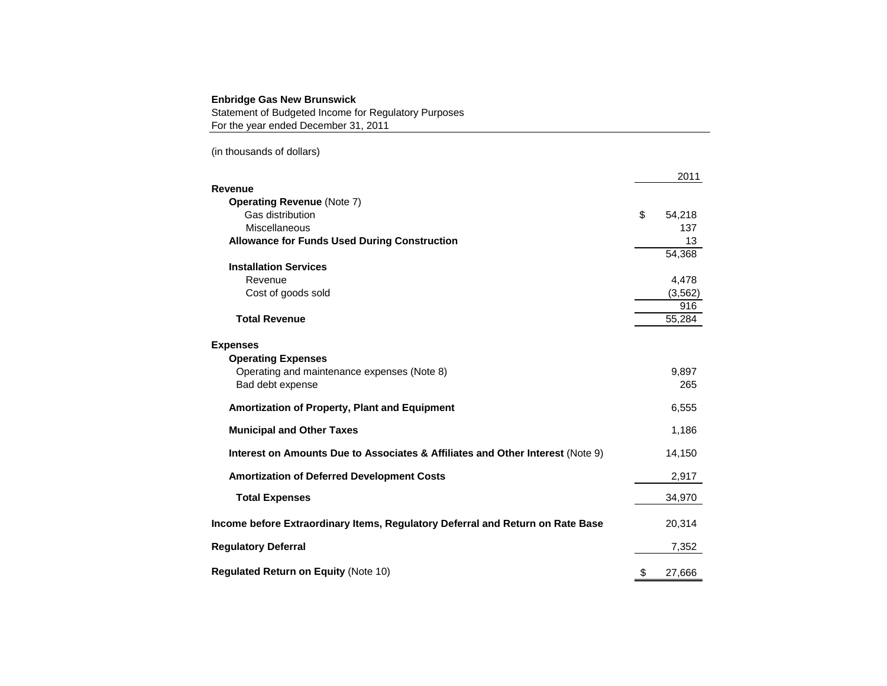#### **Enbridge Gas New Brunswick**

Statement of Budgeted Income for Regulatory Purposes For the year ended December 31, 2011

(in thousands of dollars)

|                                                                                | 2011         |
|--------------------------------------------------------------------------------|--------------|
| Revenue                                                                        |              |
| <b>Operating Revenue (Note 7)</b>                                              |              |
| Gas distribution                                                               | \$<br>54,218 |
| Miscellaneous                                                                  | 137          |
| <b>Allowance for Funds Used During Construction</b>                            | 13           |
|                                                                                | 54,368       |
| <b>Installation Services</b>                                                   |              |
| Revenue                                                                        | 4,478        |
| Cost of goods sold                                                             | (3, 562)     |
|                                                                                | 916          |
| <b>Total Revenue</b>                                                           | 55,284       |
|                                                                                |              |
| <b>Expenses</b>                                                                |              |
| <b>Operating Expenses</b>                                                      |              |
| Operating and maintenance expenses (Note 8)                                    | 9,897        |
| Bad debt expense                                                               | 265          |
| <b>Amortization of Property, Plant and Equipment</b>                           | 6,555        |
| <b>Municipal and Other Taxes</b>                                               | 1,186        |
| Interest on Amounts Due to Associates & Affiliates and Other Interest (Note 9) | 14,150       |
| <b>Amortization of Deferred Development Costs</b>                              | 2,917        |
|                                                                                |              |
| <b>Total Expenses</b>                                                          | 34,970       |
| Income before Extraordinary Items, Regulatory Deferral and Return on Rate Base | 20,314       |
| <b>Regulatory Deferral</b>                                                     | 7,352        |
| <b>Regulated Return on Equity (Note 10)</b>                                    | \$           |
|                                                                                | 27,666       |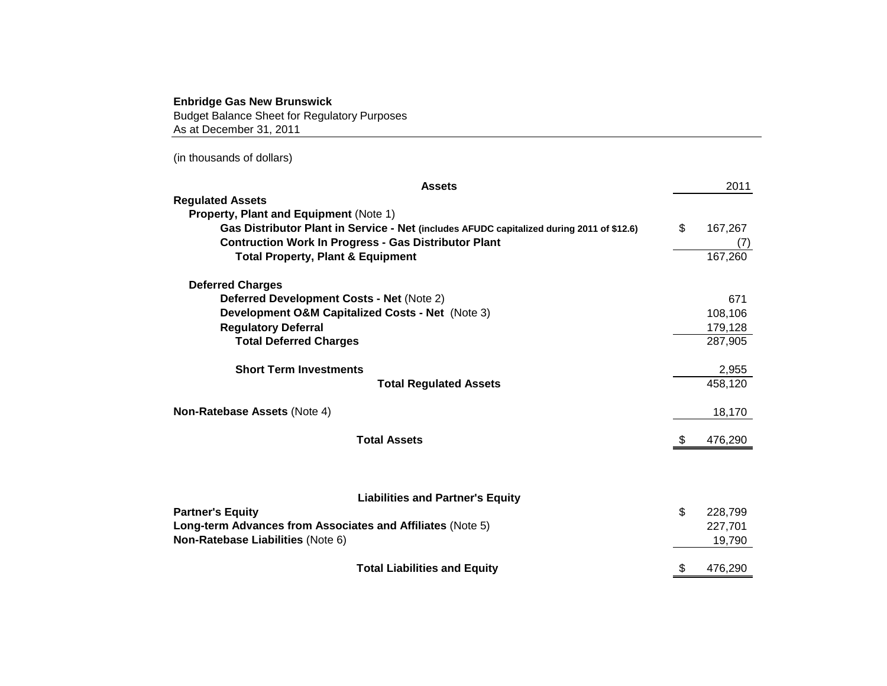### **Enbridge Gas New Brunswick**

Budget Balance Sheet for Regulatory Purposes As at December 31, 2011

(in thousands of dollars)

|                                                             | <b>Assets</b>                                                                             | 2011          |
|-------------------------------------------------------------|-------------------------------------------------------------------------------------------|---------------|
| <b>Regulated Assets</b>                                     |                                                                                           |               |
| <b>Property, Plant and Equipment (Note 1)</b>               |                                                                                           |               |
|                                                             | Gas Distributor Plant in Service - Net (includes AFUDC capitalized during 2011 of \$12.6) | \$<br>167,267 |
| <b>Contruction Work In Progress - Gas Distributor Plant</b> |                                                                                           | (7)           |
| <b>Total Property, Plant &amp; Equipment</b>                |                                                                                           | 167,260       |
| <b>Deferred Charges</b>                                     |                                                                                           |               |
| Deferred Development Costs - Net (Note 2)                   |                                                                                           | 671           |
| Development O&M Capitalized Costs - Net (Note 3)            |                                                                                           | 108,106       |
| <b>Regulatory Deferral</b>                                  |                                                                                           | 179,128       |
| <b>Total Deferred Charges</b>                               |                                                                                           | 287,905       |
| <b>Short Term Investments</b>                               |                                                                                           | 2,955         |
|                                                             | <b>Total Regulated Assets</b>                                                             | 458,120       |
| Non-Ratebase Assets (Note 4)                                |                                                                                           | 18,170        |
| <b>Total Assets</b>                                         |                                                                                           | \$<br>476,290 |
|                                                             |                                                                                           |               |
|                                                             | <b>Liabilities and Partner's Equity</b>                                                   |               |
| <b>Partner's Equity</b>                                     |                                                                                           | \$<br>228,799 |
| Long-term Advances from Associates and Affiliates (Note 5)  |                                                                                           | 227,701       |
| Non-Ratebase Liabilities (Note 6)                           |                                                                                           | 19,790        |
|                                                             | <b>Total Liabilities and Equity</b>                                                       | \$<br>476,290 |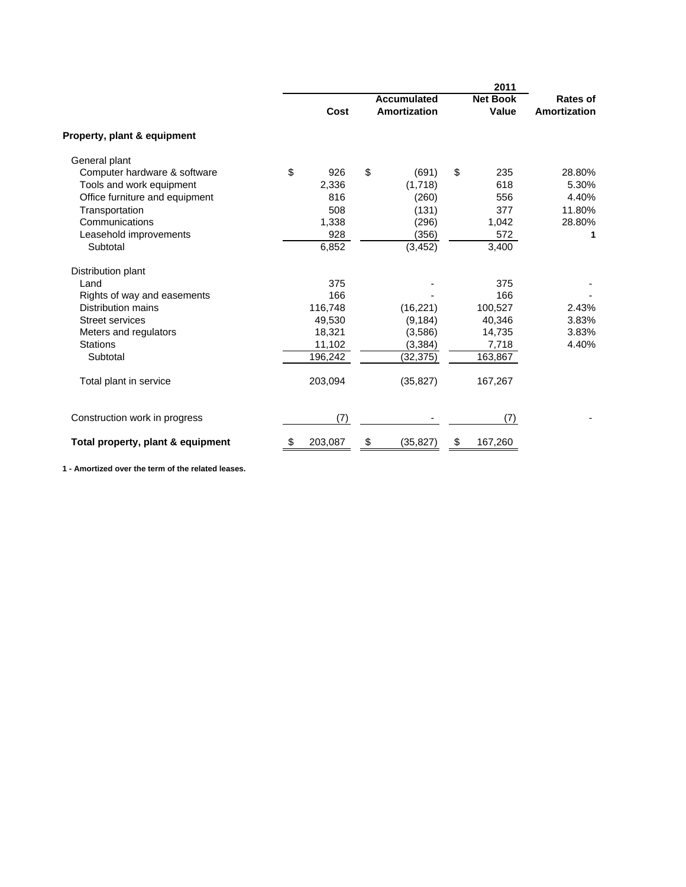|                                   |               |                                           | 2011                            |                                 |
|-----------------------------------|---------------|-------------------------------------------|---------------------------------|---------------------------------|
|                                   | Cost          | <b>Accumulated</b><br><b>Amortization</b> | <b>Net Book</b><br><b>Value</b> | <b>Rates of</b><br>Amortization |
| Property, plant & equipment       |               |                                           |                                 |                                 |
| General plant                     |               |                                           |                                 |                                 |
| Computer hardware & software      | \$<br>926     | \$<br>(691)                               | \$<br>235                       | 28.80%                          |
| Tools and work equipment          | 2,336         | (1,718)                                   | 618                             | 5.30%                           |
| Office furniture and equipment    | 816           | (260)                                     | 556                             | 4.40%                           |
| Transportation                    | 508           | (131)                                     | 377                             | 11.80%                          |
| Communications                    | 1,338         | (296)                                     | 1,042                           | 28.80%                          |
| Leasehold improvements            | 928           | (356)                                     | 572                             | 1                               |
| Subtotal                          | 6,852         | (3, 452)                                  | 3,400                           |                                 |
| Distribution plant                |               |                                           |                                 |                                 |
| Land                              | 375           |                                           | 375                             |                                 |
| Rights of way and easements       | 166           |                                           | 166                             |                                 |
| Distribution mains                | 116,748       | (16, 221)                                 | 100,527                         | 2.43%                           |
| <b>Street services</b>            | 49,530        | (9, 184)                                  | 40,346                          | 3.83%                           |
| Meters and regulators             | 18,321        | (3,586)                                   | 14,735                          | 3.83%                           |
| <b>Stations</b>                   | 11,102        | (3, 384)                                  | 7,718                           | 4.40%                           |
| Subtotal                          | 196,242       | (32, 375)                                 | 163,867                         |                                 |
| Total plant in service            | 203,094       | (35, 827)                                 | 167,267                         |                                 |
| Construction work in progress     | (7)           |                                           | (7)                             |                                 |
| Total property, plant & equipment | \$<br>203,087 | \$<br>(35, 827)                           | \$<br>167,260                   |                                 |

**1 - Amortized over the term of the related leases.**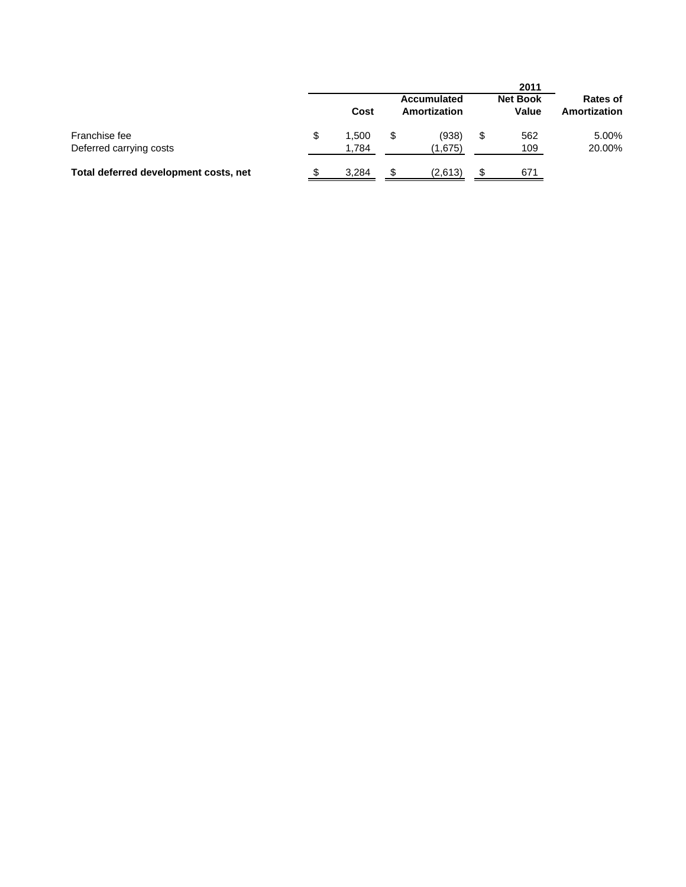|                                          |                |     |                                    |    | 2011                     |                                 |
|------------------------------------------|----------------|-----|------------------------------------|----|--------------------------|---------------------------------|
|                                          | Cost           |     | <b>Accumulated</b><br>Amortization |    | <b>Net Book</b><br>Value | <b>Rates of</b><br>Amortization |
| Franchise fee<br>Deferred carrying costs | 1,500<br>1,784 |     | (938)<br>(1,675)                   | \$ | 562<br>109               | 5.00%<br>20.00%                 |
| Total deferred development costs, net    | 3,284          | \$. | (2,613)                            | ъ  | 671                      |                                 |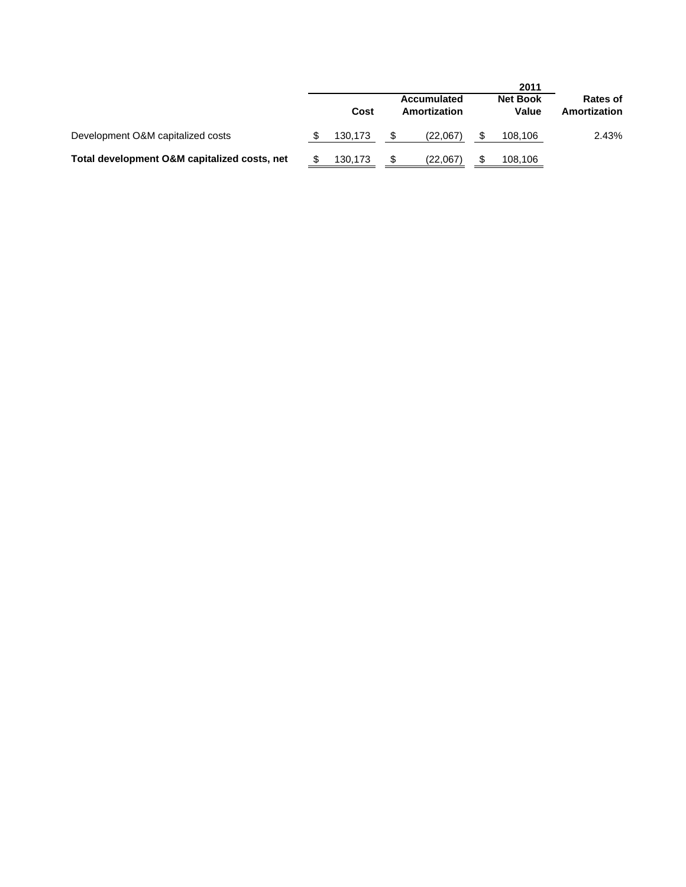|                                              |         |                                    | 2011                     |                          |
|----------------------------------------------|---------|------------------------------------|--------------------------|--------------------------|
|                                              | Cost    | <b>Accumulated</b><br>Amortization | <b>Net Book</b><br>Value | Rates of<br>Amortization |
| Development O&M capitalized costs            | 130.173 | (22.067)                           | 108,106                  | 2.43%                    |
| Total development O&M capitalized costs, net | 130.173 | (22,067)                           | 108,106                  |                          |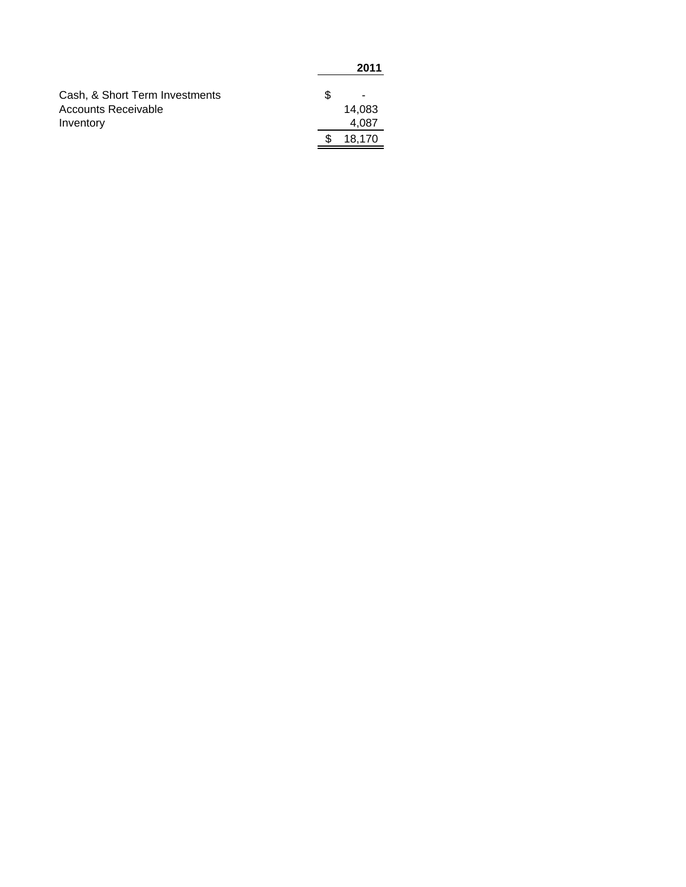|                                | 2011   |
|--------------------------------|--------|
| Cash, & Short Term Investments | -      |
| Accounts Receivable            | 14,083 |
| Inventory                      | 4,087  |
|                                | 18,170 |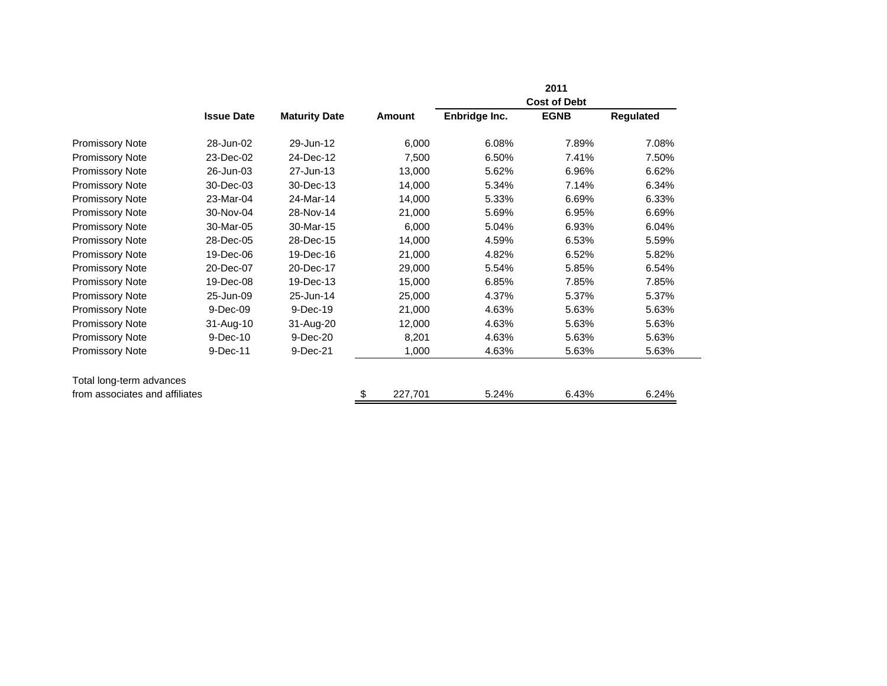|                                |                   |                      |               |               | 2011                |           |
|--------------------------------|-------------------|----------------------|---------------|---------------|---------------------|-----------|
|                                |                   |                      |               |               | <b>Cost of Debt</b> |           |
|                                | <b>Issue Date</b> | <b>Maturity Date</b> | Amount        | Enbridge Inc. | <b>EGNB</b>         | Regulated |
| <b>Promissory Note</b>         | 28-Jun-02         | 29-Jun-12            | 6,000         | 6.08%         | 7.89%               | 7.08%     |
| <b>Promissory Note</b>         | 23-Dec-02         | 24-Dec-12            | 7,500         | 6.50%         | 7.41%               | 7.50%     |
| <b>Promissory Note</b>         | 26-Jun-03         | 27-Jun-13            | 13,000        | 5.62%         | 6.96%               | 6.62%     |
| <b>Promissory Note</b>         | 30-Dec-03         | 30-Dec-13            | 14,000        | 5.34%         | 7.14%               | 6.34%     |
| <b>Promissory Note</b>         | 23-Mar-04         | 24-Mar-14            | 14,000        | 5.33%         | 6.69%               | 6.33%     |
| <b>Promissory Note</b>         | 30-Nov-04         | 28-Nov-14            | 21,000        | 5.69%         | 6.95%               | 6.69%     |
| <b>Promissory Note</b>         | 30-Mar-05         | 30-Mar-15            | 6,000         | 5.04%         | 6.93%               | 6.04%     |
| <b>Promissory Note</b>         | 28-Dec-05         | 28-Dec-15            | 14,000        | 4.59%         | 6.53%               | 5.59%     |
| <b>Promissory Note</b>         | 19-Dec-06         | 19-Dec-16            | 21,000        | 4.82%         | 6.52%               | 5.82%     |
| <b>Promissory Note</b>         | 20-Dec-07         | 20-Dec-17            | 29,000        | 5.54%         | 5.85%               | 6.54%     |
| <b>Promissory Note</b>         | 19-Dec-08         | 19-Dec-13            | 15,000        | 6.85%         | 7.85%               | 7.85%     |
| <b>Promissory Note</b>         | 25-Jun-09         | 25-Jun-14            | 25,000        | 4.37%         | 5.37%               | 5.37%     |
| <b>Promissory Note</b>         | 9-Dec-09          | 9-Dec-19             | 21,000        | 4.63%         | 5.63%               | 5.63%     |
| Promissory Note                | 31-Aug-10         | 31-Aug-20            | 12,000        | 4.63%         | 5.63%               | 5.63%     |
| <b>Promissory Note</b>         | 9-Dec-10          | 9-Dec-20             | 8,201         | 4.63%         | 5.63%               | 5.63%     |
| <b>Promissory Note</b>         | 9-Dec-11          | 9-Dec-21             | 1,000         | 4.63%         | 5.63%               | 5.63%     |
| Total long-term advances       |                   |                      |               |               |                     |           |
| from associates and affiliates |                   |                      | \$<br>227,701 | 5.24%         | 6.43%               | 6.24%     |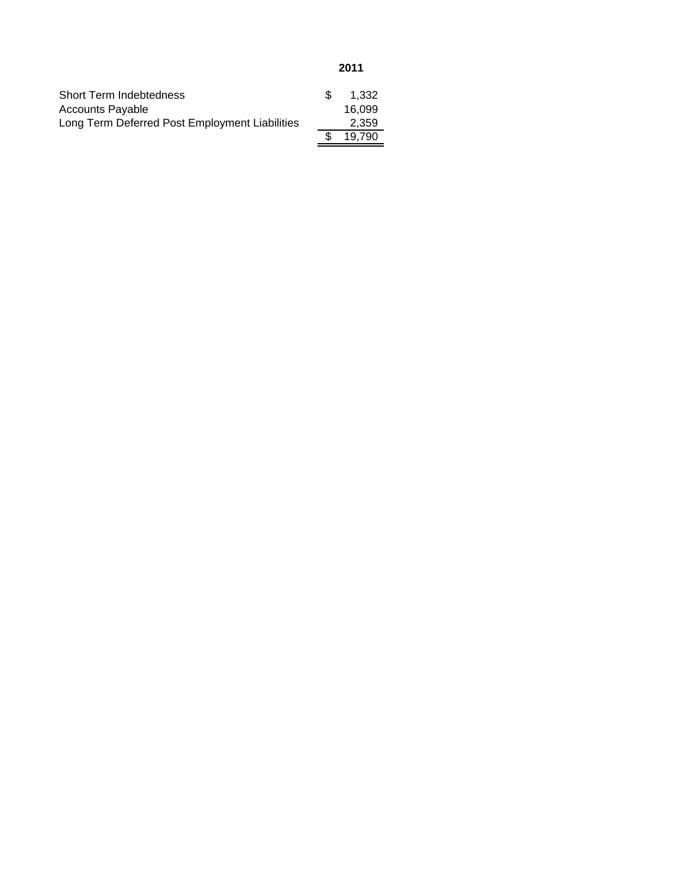| <b>Short Term Indebtedness</b>                 | 1.332  |
|------------------------------------------------|--------|
| <b>Accounts Payable</b>                        | 16.099 |
| Long Term Deferred Post Employment Liabilities | 2.359  |
|                                                | 19.790 |
|                                                |        |

**2011**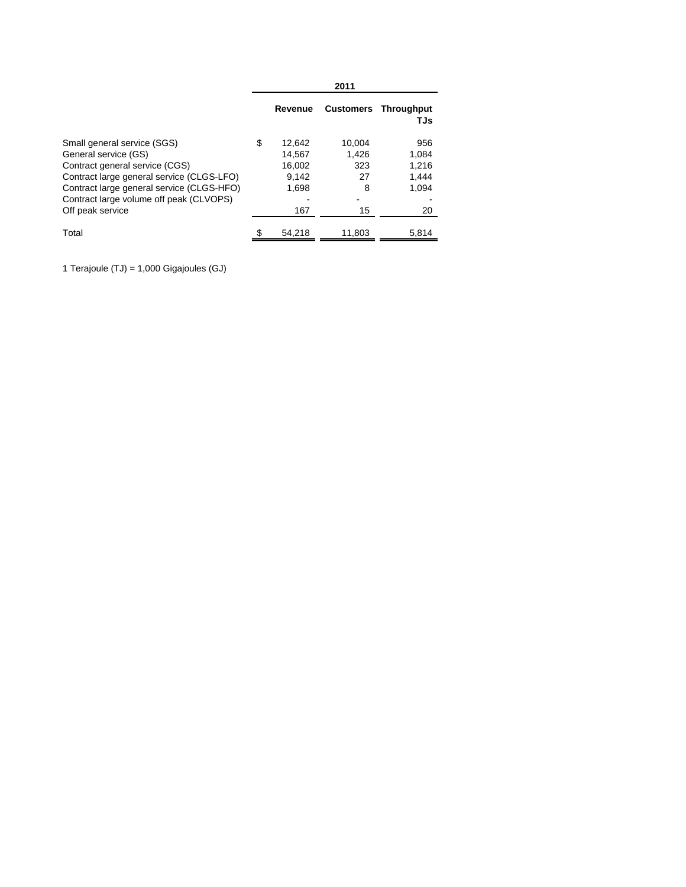|                                                                                                                                                                                                                                                |                                                           | 2011                                    |                                               |
|------------------------------------------------------------------------------------------------------------------------------------------------------------------------------------------------------------------------------------------------|-----------------------------------------------------------|-----------------------------------------|-----------------------------------------------|
|                                                                                                                                                                                                                                                | Revenue                                                   |                                         | <b>Customers Throughput</b><br>TJs            |
| Small general service (SGS)<br>General service (GS)<br>Contract general service (CGS)<br>Contract large general service (CLGS-LFO)<br>Contract large general service (CLGS-HFO)<br>Contract large volume off peak (CLVOPS)<br>Off peak service | \$<br>12.642<br>14.567<br>16.002<br>9.142<br>1,698<br>167 | 10.004<br>1.426<br>323<br>27<br>8<br>15 | 956<br>1.084<br>1.216<br>1.444<br>1.094<br>20 |
| Total                                                                                                                                                                                                                                          | 54.218                                                    | 11,803                                  | 5.814                                         |

1 Terajoule (TJ) = 1,000 Gigajoules (GJ)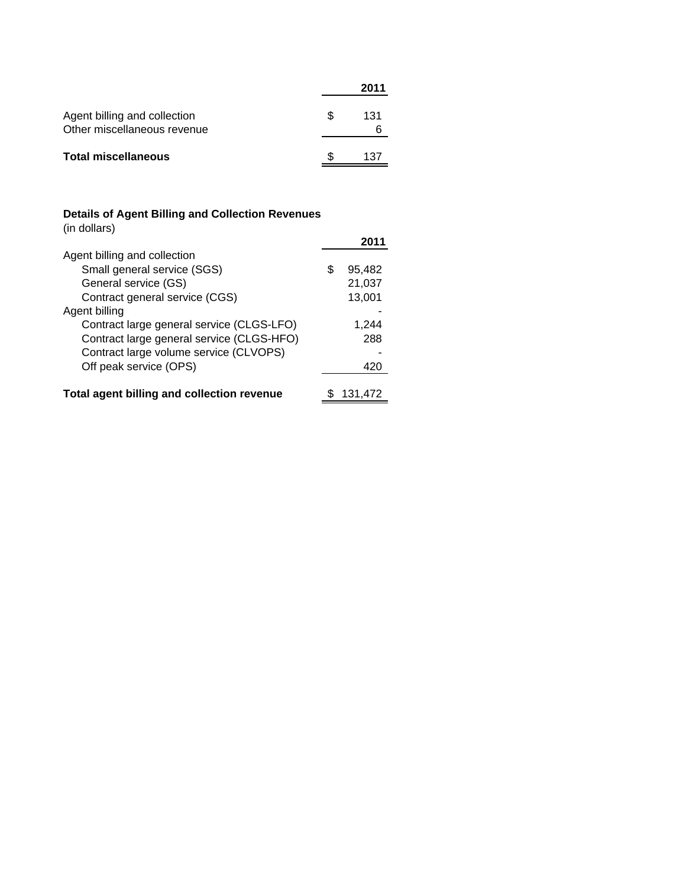|                                                             |     | 2011 |
|-------------------------------------------------------------|-----|------|
| Agent billing and collection<br>Other miscellaneous revenue | \$. | 131  |
| <b>Total miscellaneous</b>                                  |     | 137  |

### **Details of Agent Billing and Collection Revenues**

(in dollars)

| Agent billing and collection               |   |         |
|--------------------------------------------|---|---------|
| Small general service (SGS)                | S | 95,482  |
| General service (GS)                       |   | 21,037  |
| Contract general service (CGS)             |   | 13,001  |
| Agent billing                              |   |         |
| Contract large general service (CLGS-LFO)  |   | 1.244   |
| Contract large general service (CLGS-HFO)  |   | 288     |
| Contract large volume service (CLVOPS)     |   |         |
| Off peak service (OPS)                     |   | 420     |
|                                            |   |         |
| Total agent billing and collection revenue |   | 131.472 |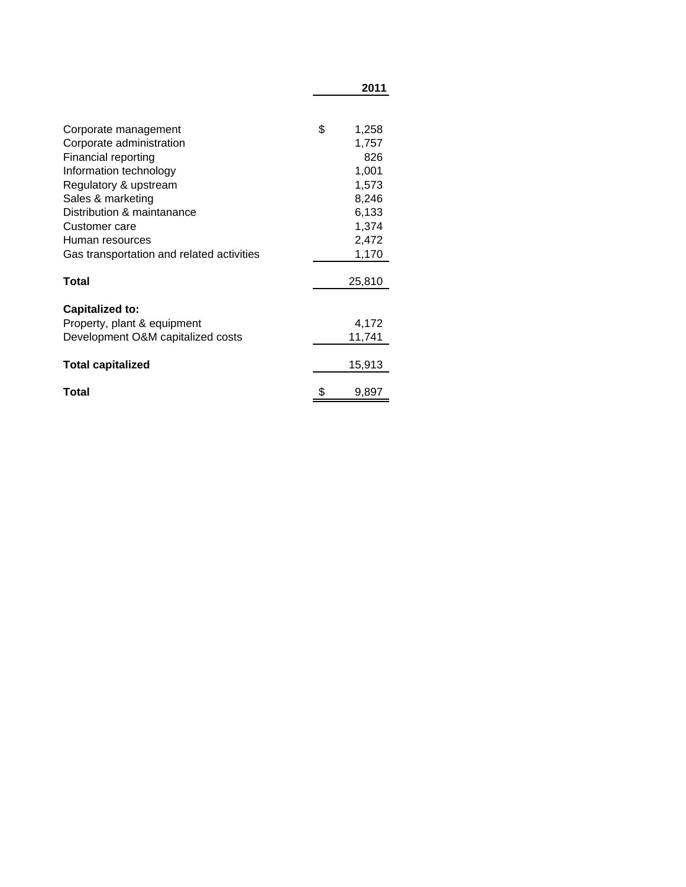|                                           | 2011         |
|-------------------------------------------|--------------|
|                                           | \$           |
| Corporate management                      | 1,258        |
| Corporate administration                  | 1,757<br>826 |
| Financial reporting                       |              |
| Information technology                    | 1,001        |
| Regulatory & upstream                     | 1,573        |
| Sales & marketing                         | 8,246        |
| Distribution & maintanance                | 6,133        |
| Customer care                             | 1,374        |
| Human resources                           | 2,472        |
| Gas transportation and related activities | 1,170        |
| Total                                     | 25,810       |
| <b>Capitalized to:</b>                    |              |
| Property, plant & equipment               | 4,172        |
| Development O&M capitalized costs         | 11,741       |
| <b>Total capitalized</b>                  | 15,913       |
| Total                                     | \$<br>9,897  |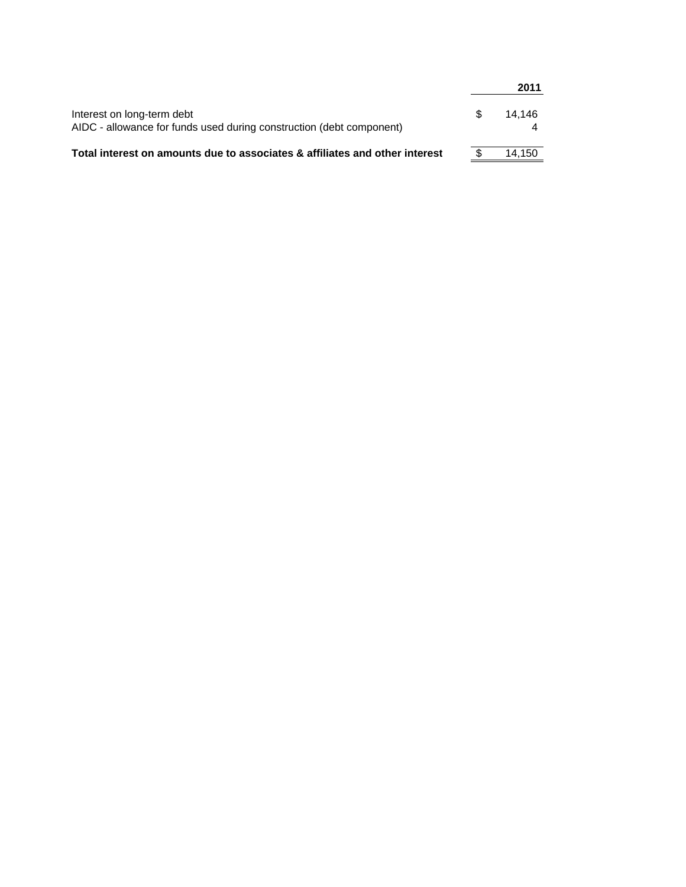|                                                                                                    |     | 2011   |
|----------------------------------------------------------------------------------------------------|-----|--------|
| Interest on long-term debt<br>AIDC - allowance for funds used during construction (debt component) | \$. | 14.146 |
| Total interest on amounts due to associates & affiliates and other interest                        |     | 14.150 |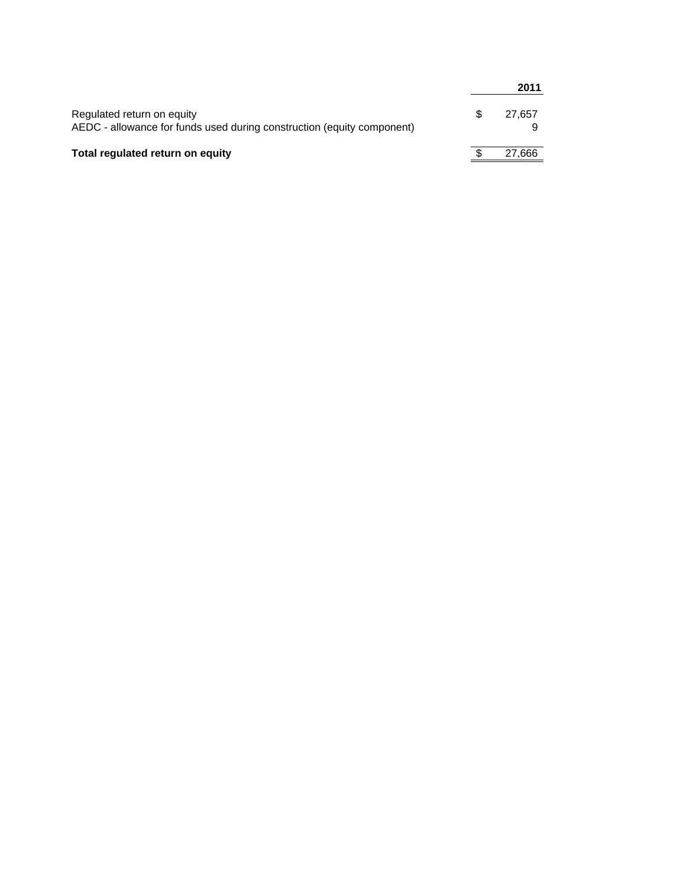|                                                                                                      |   | 2011   |
|------------------------------------------------------------------------------------------------------|---|--------|
| Regulated return on equity<br>AEDC - allowance for funds used during construction (equity component) | S | 27.657 |
| Total regulated return on equity                                                                     |   | 27,666 |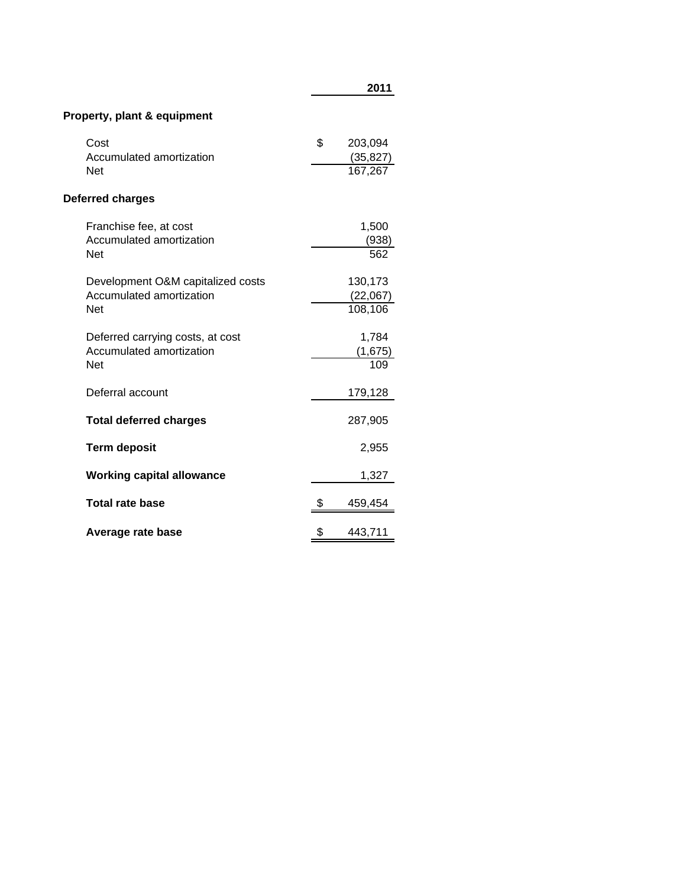| Property, plant & equipment                                                 |                                       |
|-----------------------------------------------------------------------------|---------------------------------------|
| Cost<br>Accumulated amortization<br><b>Net</b>                              | \$<br>203,094<br>(35, 827)<br>167,267 |
| Deferred charges                                                            |                                       |
| Franchise fee, at cost<br>Accumulated amortization<br><b>Net</b>            | 1,500<br>(938)<br>562                 |
| Development O&M capitalized costs<br>Accumulated amortization<br><b>Net</b> | 130,173<br>(22,067)<br>108,106        |
| Deferred carrying costs, at cost<br>Accumulated amortization<br><b>Net</b>  | 1,784<br>(1,675)<br>109               |
| Deferral account                                                            | 179,128                               |
| <b>Total deferred charges</b>                                               | 287,905                               |
| <b>Term deposit</b>                                                         | 2,955                                 |
| <b>Working capital allowance</b>                                            | 1,327                                 |
| <b>Total rate base</b>                                                      | \$<br>459,454                         |
| Average rate base                                                           | \$<br>443,711                         |

**2011**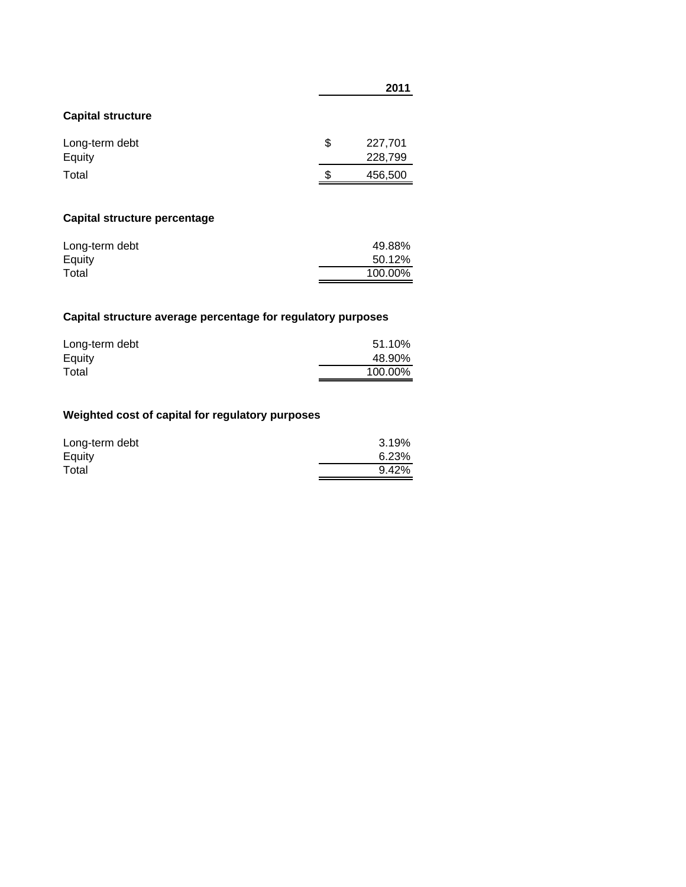|                          | ZU LI                    |
|--------------------------|--------------------------|
| <b>Capital structure</b> |                          |
| Long-term debt<br>Equity | \$<br>227,701<br>228,799 |
| Total                    | \$<br>456,500            |
|                          |                          |

## **Capital structure percentage**

| Long-term debt | 49.88%  |
|----------------|---------|
| Equity         | 50.12%  |
| Total          | 100.00% |

# **Capital structure average percentage for regulatory purposes**

| Long-term debt | 51.10%  |
|----------------|---------|
| Equity         | 48.90%  |
| Total          | 100.00% |

# **Weighted cost of capital for regulatory purposes**

| Long-term debt | 3.19% |
|----------------|-------|
| Equity         | 6.23% |
| Total          | 9.42% |